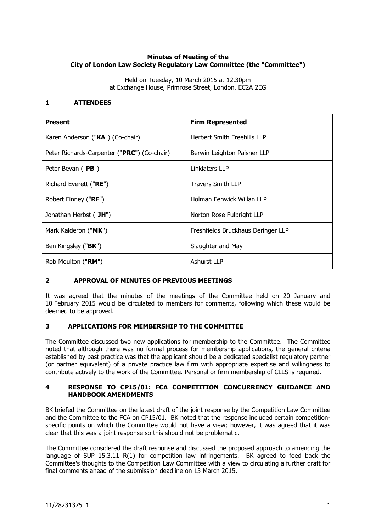## **Minutes of Meeting of the City of London Law Society Regulatory Law Committee (the "Committee")**

Held on Tuesday, 10 March 2015 at 12.30pm at Exchange House, Primrose Street, London, EC2A 2EG

## **1 ATTENDEES**

| <b>Present</b>                              | <b>Firm Represented</b>            |
|---------------------------------------------|------------------------------------|
| Karen Anderson ("KA") (Co-chair)            | Herbert Smith Freehills LLP        |
| Peter Richards-Carpenter ("PRC") (Co-chair) | Berwin Leighton Paisner LLP        |
| Peter Bevan ("PB")                          | Linklaters LLP                     |
| Richard Everett ("RE")                      | Travers Smith LLP                  |
| Robert Finney ("RF")                        | Holman Fenwick Willan LLP          |
| Jonathan Herbst ("JH")                      | Norton Rose Fulbright LLP          |
| Mark Kalderon ("MK")                        | Freshfields Bruckhaus Deringer LLP |
| Ben Kingsley (" <b>BK</b> ")                | Slaughter and May                  |
| Rob Moulton ("RM")                          | Ashurst LLP                        |

# **2 APPROVAL OF MINUTES OF PREVIOUS MEETINGS**

It was agreed that the minutes of the meetings of the Committee held on 20 January and 10 February 2015 would be circulated to members for comments, following which these would be deemed to be approved.

## **3 APPLICATIONS FOR MEMBERSHIP TO THE COMMITTEE**

The Committee discussed two new applications for membership to the Committee. The Committee noted that although there was no formal process for membership applications, the general criteria established by past practice was that the applicant should be a dedicated specialist regulatory partner (or partner equivalent) of a private practice law firm with appropriate expertise and willingness to contribute actively to the work of the Committee. Personal or firm membership of CLLS is required.

## **4 RESPONSE TO CP15/01: FCA COMPETITION CONCURRENCY GUIDANCE AND HANDBOOK AMENDMENTS**

BK briefed the Committee on the latest draft of the joint response by the Competition Law Committee and the Committee to the FCA on CP15/01. BK noted that the response included certain competitionspecific points on which the Committee would not have a view; however, it was agreed that it was clear that this was a joint response so this should not be problematic.

The Committee considered the draft response and discussed the proposed approach to amending the language of SUP 15.3.11 R(1) for competition law infringements.BK agreed to feed back the Committee's thoughts to the Competition Law Committee with a view to circulating a further draft for final comments ahead of the submission deadline on 13 March 2015.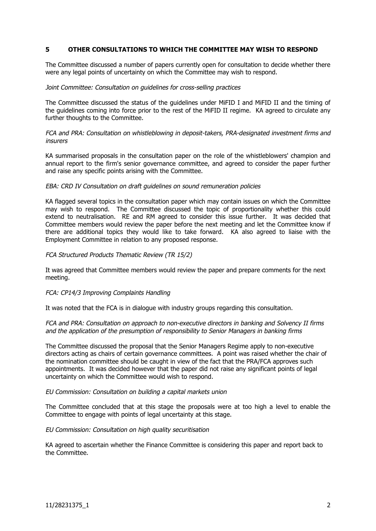### **5 OTHER CONSULTATIONS TO WHICH THE COMMITTEE MAY WISH TO RESPOND**

The Committee discussed a number of papers currently open for consultation to decide whether there were any legal points of uncertainty on which the Committee may wish to respond.

#### Joint Committee: Consultation on guidelines for cross-selling practices

The Committee discussed the status of the guidelines under MiFID I and MiFID II and the timing of the guidelines coming into force prior to the rest of the MiFID II regime. KA agreed to circulate any further thoughts to the Committee.

FCA and PRA: Consultation on whistleblowing in deposit-takers, PRA-designated investment firms and insurers

KA summarised proposals in the consultation paper on the role of the whistleblowers' champion and annual report to the firm's senior governance committee, and agreed to consider the paper further and raise any specific points arising with the Committee.

#### EBA: CRD IV Consultation on draft guidelines on sound remuneration policies

KA flagged several topics in the consultation paper which may contain issues on which the Committee may wish to respond. The Committee discussed the topic of proportionality whether this could extend to neutralisation. RE and RM agreed to consider this issue further. It was decided that Committee members would review the paper before the next meeting and let the Committee know if there are additional topics they would like to take forward. KA also agreed to liaise with the Employment Committee in relation to any proposed response.

#### FCA Structured Products Thematic Review (TR 15/2)

It was agreed that Committee members would review the paper and prepare comments for the next meeting.

### FCA: CP14/3 Improving Complaints Handling

It was noted that the FCA is in dialogue with industry groups regarding this consultation.

#### FCA and PRA: Consultation on approach to non-executive directors in banking and Solvency II firms and the application of the presumption of responsibility to Senior Managers in banking firms

The Committee discussed the proposal that the Senior Managers Regime apply to non-executive directors acting as chairs of certain governance committees. A point was raised whether the chair of the nomination committee should be caught in view of the fact that the PRA/FCA approves such appointments. It was decided however that the paper did not raise any significant points of legal uncertainty on which the Committee would wish to respond.

#### EU Commission: Consultation on building a capital markets union

The Committee concluded that at this stage the proposals were at too high a level to enable the Committee to engage with points of legal uncertainty at this stage.

#### EU Commission: Consultation on high quality securitisation

KA agreed to ascertain whether the Finance Committee is considering this paper and report back to the Committee.